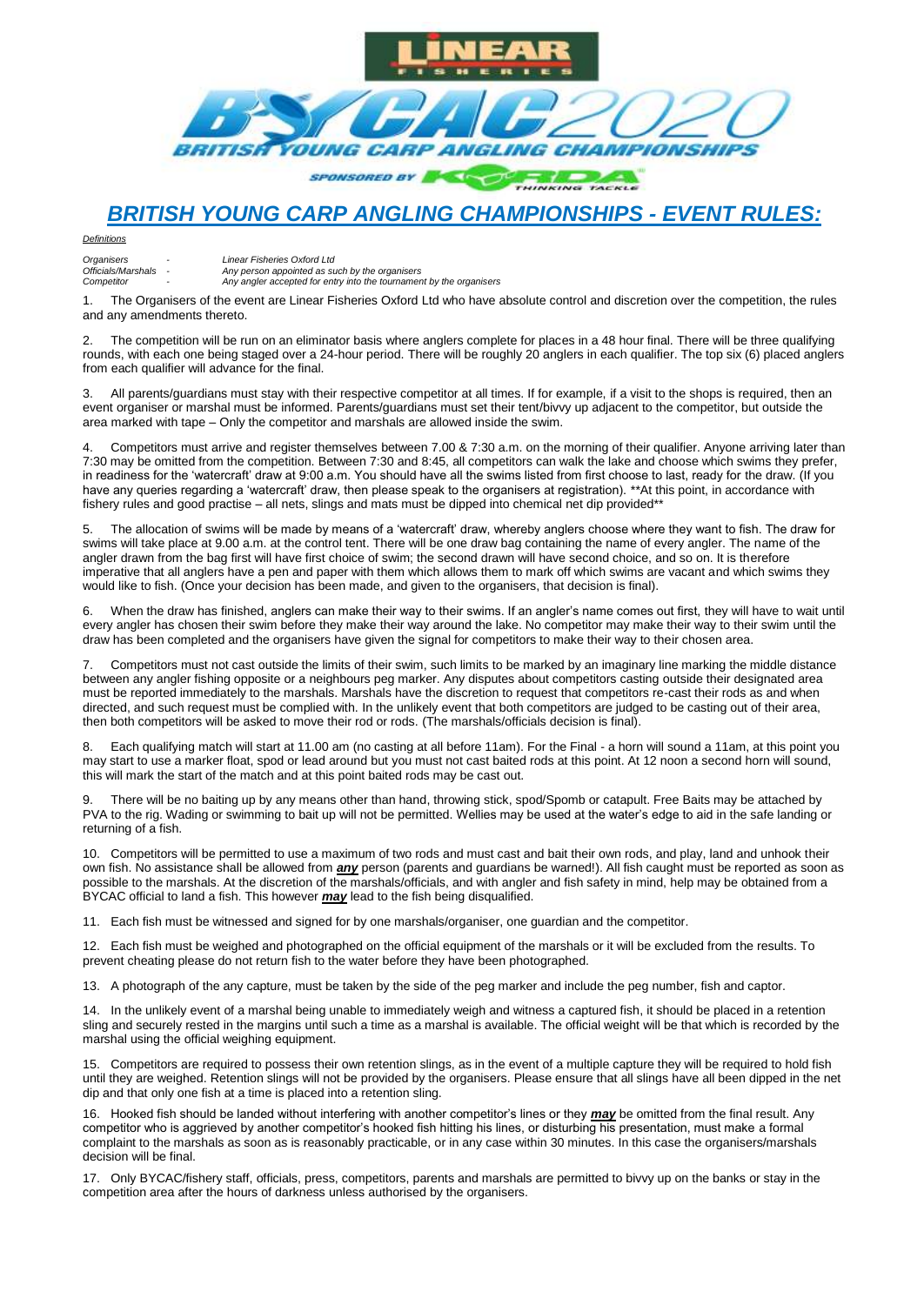

## *BRITISH YOUNG CARP ANGLING CHAMPIONSHIPS - EVENT RULES:*

*Definitions*

| Organisers         | $\overline{\phantom{0}}$ | Linear Fisheries Oxford Ltd                                         |
|--------------------|--------------------------|---------------------------------------------------------------------|
| Officials/Marshals |                          | Any person appointed as such by the organisers                      |
| Competitor         |                          | Any angler accepted for entry into the tournament by the organisers |

1. The Organisers of the event are Linear Fisheries Oxford Ltd who have absolute control and discretion over the competition, the rules and any amendments thereto.

2. The competition will be run on an eliminator basis where anglers complete for places in a 48 hour final. There will be three qualifying rounds, with each one being staged over a 24-hour period. There will be roughly 20 anglers in each qualifier. The top six (6) placed anglers from each qualifier will advance for the final.

3. All parents/guardians must stay with their respective competitor at all times. If for example, if a visit to the shops is required, then an event organiser or marshal must be informed. Parents/guardians must set their tent/bivvy up adjacent to the competitor, but outside the area marked with tape – Only the competitor and marshals are allowed inside the swim.

4. Competitors must arrive and register themselves between 7.00 & 7:30 a.m. on the morning of their qualifier. Anyone arriving later than 7:30 may be omitted from the competition. Between 7:30 and 8:45, all competitors can walk the lake and choose which swims they prefer, in readiness for the 'watercraft' draw at 9:00 a.m. You should have all the swims listed from first choose to last, ready for the draw. (If you have any queries regarding a 'watercraft' draw, then please speak to the organisers at registration). \*\*At this point, in accordance with fishery rules and good practise – all nets, slings and mats must be dipped into chemical net dip provided\*\*

5. The allocation of swims will be made by means of a 'watercraft' draw, whereby anglers choose where they want to fish. The draw for swims will take place at 9.00 a.m. at the control tent. There will be one draw bag containing the name of every angler. The name of the angler drawn from the bag first will have first choice of swim; the second drawn will have second choice, and so on. It is therefore imperative that all anglers have a pen and paper with them which allows them to mark off which swims are vacant and which swims they would like to fish. (Once your decision has been made, and given to the organisers, that decision is final).

6. When the draw has finished, anglers can make their way to their swims. If an angler's name comes out first, they will have to wait until every angler has chosen their swim before they make their way around the lake. No competitor may make their way to their swim until the draw has been completed and the organisers have given the signal for competitors to make their way to their chosen area.

7. Competitors must not cast outside the limits of their swim, such limits to be marked by an imaginary line marking the middle distance between any angler fishing opposite or a neighbours peg marker. Any disputes about competitors casting outside their designated area must be reported immediately to the marshals. Marshals have the discretion to request that competitors re-cast their rods as and when directed, and such request must be complied with. In the unlikely event that both competitors are judged to be casting out of their area, then both competitors will be asked to move their rod or rods. (The marshals/officials decision is final).

8. Each qualifying match will start at 11.00 am (no casting at all before 11am). For the Final - a horn will sound a 11am, at this point you may start to use a marker float, spod or lead around but you must not cast baited rods at this point. At 12 noon a second horn will sound, this will mark the start of the match and at this point baited rods may be cast out.

There will be no baiting up by any means other than hand, throwing stick, spod/Spomb or catapult. Free Baits may be attached by PVA to the rig. Wading or swimming to bait up will not be permitted. Wellies may be used at the water's edge to aid in the safe landing or returning of a fish.

10. Competitors will be permitted to use a maximum of two rods and must cast and bait their own rods, and play, land and unhook their own fish. No assistance shall be allowed from *any* person (parents and guardians be warned!). All fish caught must be reported as soon as possible to the marshals. At the discretion of the marshals/officials, and with angler and fish safety in mind, help may be obtained from a BYCAC official to land a fish. This however *may* lead to the fish being disqualified.

11. Each fish must be witnessed and signed for by one marshals/organiser, one guardian and the competitor.

12. Each fish must be weighed and photographed on the official equipment of the marshals or it will be excluded from the results. To prevent cheating please do not return fish to the water before they have been photographed.

13. A photograph of the any capture, must be taken by the side of the peg marker and include the peg number, fish and captor.

14. In the unlikely event of a marshal being unable to immediately weigh and witness a captured fish, it should be placed in a retention sling and securely rested in the margins until such a time as a marshal is available. The official weight will be that which is recorded by the marshal using the official weighing equipment.

15. Competitors are required to possess their own retention slings, as in the event of a multiple capture they will be required to hold fish until they are weighed. Retention slings will not be provided by the organisers. Please ensure that all slings have all been dipped in the net dip and that only one fish at a time is placed into a retention sling.

16. Hooked fish should be landed without interfering with another competitor's lines or they *may* be omitted from the final result. Any competitor who is aggrieved by another competitor's hooked fish hitting his lines, or disturbing his presentation, must make a formal complaint to the marshals as soon as is reasonably practicable, or in any case within 30 minutes. In this case the organisers/marshals decision will be final.

17. Only BYCAC/fishery staff, officials, press, competitors, parents and marshals are permitted to bivvy up on the banks or stay in the competition area after the hours of darkness unless authorised by the organisers.